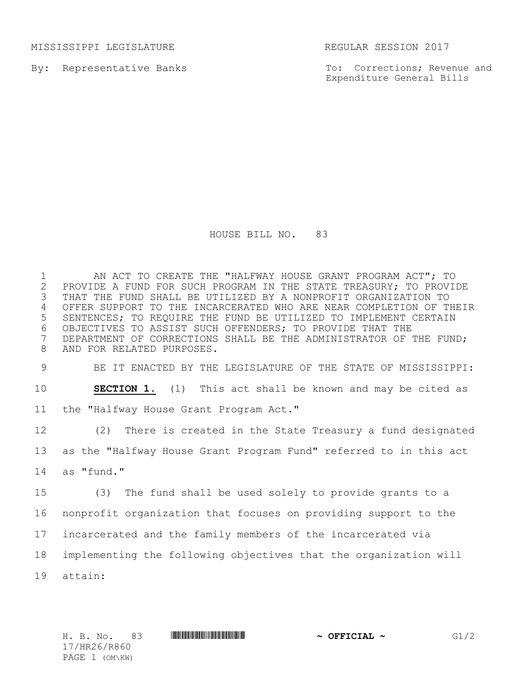MISSISSIPPI LEGISLATURE **REGULAR SESSION 2017** 

By: Representative Banks

To: Corrections; Revenue and Expenditure General Bills

## HOUSE BILL NO. 83

 AN ACT TO CREATE THE "HALFWAY HOUSE GRANT PROGRAM ACT"; TO 2 PROVIDE A FUND FOR SUCH PROGRAM IN THE STATE TREASURY; TO PROVIDE<br>3 THAT THE FUND SHALL BE UTILIZED BY A NONPROFIT ORGANIZATION TO THAT THE FUND SHALL BE UTILIZED BY A NONPROFIT ORGANIZATION TO OFFER SUPPORT TO THE INCARCERATED WHO ARE NEAR COMPLETION OF THEIR SENTENCES; TO REQUIRE THE FUND BE UTILIZED TO IMPLEMENT CERTAIN OBJECTIVES TO ASSIST SUCH OFFENDERS; TO PROVIDE THAT THE DEPARTMENT OF CORRECTIONS SHALL BE THE ADMINISTRATOR OF THE FUND; AND FOR RELATED PURPOSES.

 BE IT ENACTED BY THE LEGISLATURE OF THE STATE OF MISSISSIPPI: **SECTION 1.** (1) This act shall be known and may be cited as the "Halfway House Grant Program Act."

 (2) There is created in the State Treasury a fund designated as the "Halfway House Grant Program Fund" referred to in this act as "fund."

 (3) The fund shall be used solely to provide grants to a nonprofit organization that focuses on providing support to the incarcerated and the family members of the incarcerated via implementing the following objectives that the organization will attain:

17/HR26/R860 PAGE 1 (OM\KW)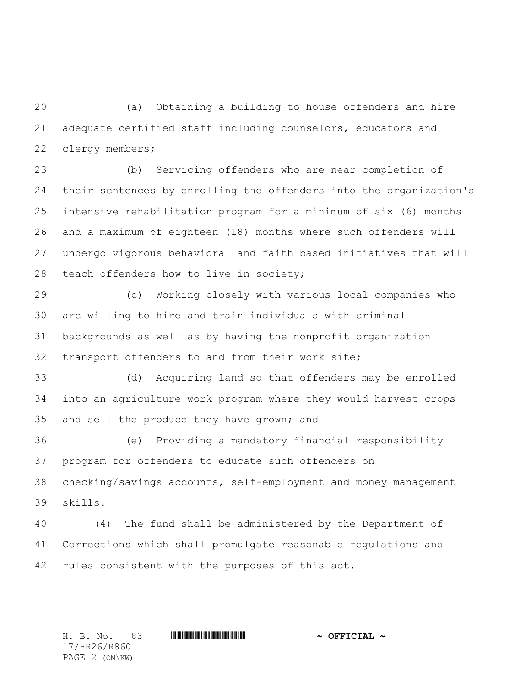(a) Obtaining a building to house offenders and hire adequate certified staff including counselors, educators and clergy members;

 (b) Servicing offenders who are near completion of their sentences by enrolling the offenders into the organization's intensive rehabilitation program for a minimum of six (6) months and a maximum of eighteen (18) months where such offenders will undergo vigorous behavioral and faith based initiatives that will teach offenders how to live in society;

 (c) Working closely with various local companies who are willing to hire and train individuals with criminal backgrounds as well as by having the nonprofit organization transport offenders to and from their work site;

 (d) Acquiring land so that offenders may be enrolled into an agriculture work program where they would harvest crops and sell the produce they have grown; and

 (e) Providing a mandatory financial responsibility program for offenders to educate such offenders on checking/savings accounts, self-employment and money management skills.

 (4) The fund shall be administered by the Department of Corrections which shall promulgate reasonable regulations and rules consistent with the purposes of this act.

17/HR26/R860 PAGE 2 (OM\KW)

H. B. No. 83 \*HR26/R860\* **~ OFFICIAL ~**